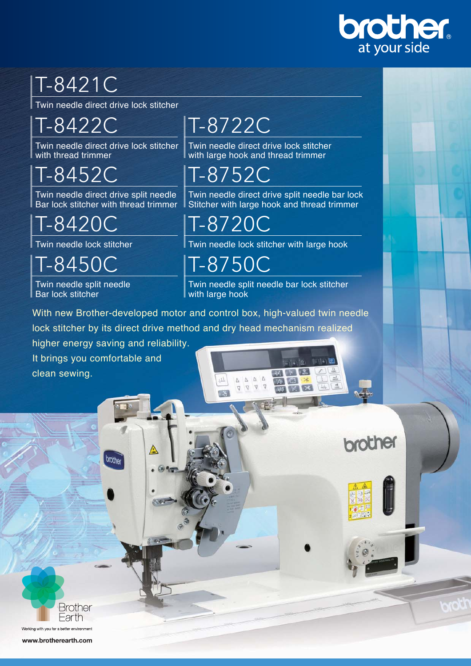

brother

## T-8421C

Twin needle direct drive lock stitcher

T-8422C

Twin needle direct drive lock stitcher with thread trimmer

T-8452C

Twin needle direct drive split needle Bar lock stitcher with thread trimmer

T-8420C

Twin needle lock stitcher

T-8450C Twin needle split needle

Bar lock stitcher

clean sewing.

It brings you comfortable and

brother

## T-8722C

Twin needle direct drive lock stitcher with large hook and thread trimmer

T-8752C

Twin needle direct drive split needle bar lock Stitcher with large hook and thread trimmer

T-8720C

Twin needle lock stitcher with large hook

T-8750C

Twin needle split needle bar lock stitcher with large hook

 $\begin{array}{|c|c|c|c|c|}\hline \Delta & \Delta & \Delta & \Delta \\\hline \end{array}$ 

 $\begin{array}{ccccc}\n\heartsuit & \heartsuit & \heartsuit\n\end{array}$ 

 $111$ 

 $\overline{1}$ 

With new Brother-developed motor and control box, high-valued twin needle lock stitcher by its direct drive method and dry head mechanism realized higher energy saving and reliability.

A

**Brother** Earth Working with you for a better environment

www.brotherearth.com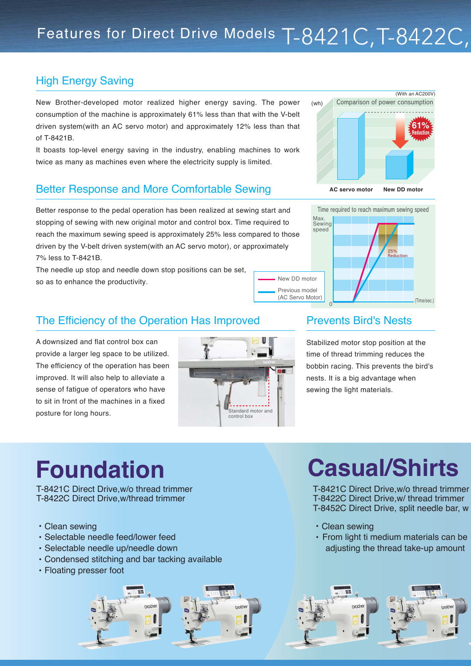## Features for Direct Drive Models T-8421C, T-8422C,

## High Energy Saving

New Brother-developed motor realized higher energy saving. The power consumption of the machine is approximately 61% less than that with the V-belt driven system(with an AC servo motor) and approximately 12% less than that of T-8421B.

It boasts top-level energy saving in the industry, enabling machines to work twice as many as machines even where the electricity supply is limited.

#### Better Response and More Comfortable Sewing

Better response to the pedal operation has been realized at sewing start and stopping of sewing with new original motor and control box. Time required to reach the maximum sewing speed is approximately 25% less compared to those driven by the V-belt driven system(with an AC servo motor), or approximately 7% less to T-8421B.

The needle up stop and needle down stop positions can be set, so as to enhance the productivity.



## (wh) (With an AC200V) **AC servo motor New DD motor 61% Reduction** Comparison of power consumption



### The Efficiency of the Operation Has Improved Prevents Bird's Nests

A downsized and flat control box can provide a larger leg space to be utilized. The efficiency of the operation has been improved. It will also help to alleviate a sense of fatigue of operators who have to sit in front of the machines in a fixed posture for long hours.



Stabilized motor stop position at the time of thread trimming reduces the bobbin racing. This prevents the bird's nests. It is a big advantage when sewing the light materials.

## **Foundation**

T-8421C Direct Drive,w/o thread trimmer T-8422C Direct Drive,w/thread trimmer

- ・ Clean sewing
- ・ Selectable needle feed/lower feed
- ・ Selectable needle up/needle down
- ・ Condensed stitching and bar tacking available
- ・ Floating presser foot

# **Casual/Shirts**

T-8421C Direct Drive,w/o thread trimmer T-8422C Direct Drive,w/ thread trimmer T-8452C Direct Drive, split needle bar, w

- ・ Clean sewing
- ・ From light ti medium materials can be adjusting the thread take-up amount

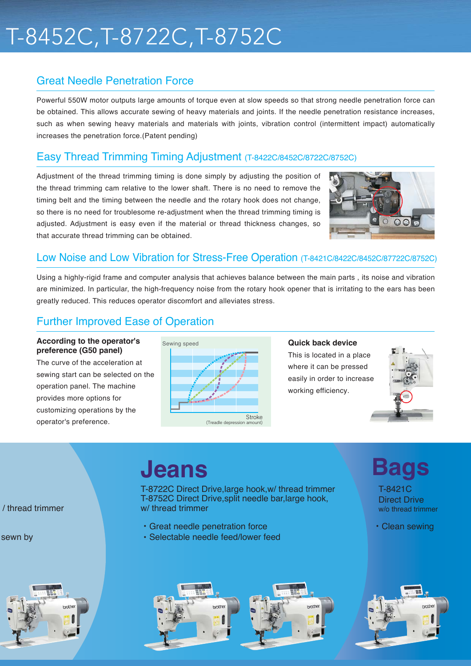## T-8452C,T-8722C,T-8752C

### Great Needle Penetration Force

Powerful 550W motor outputs large amounts of torque even at slow speeds so that strong needle penetration force can be obtained. This allows accurate sewing of heavy materials and joints. If the needle penetration resistance increases, such as when sewing heavy materials and materials with joints, vibration control (intermittent impact) automatically increases the penetration force.(Patent pending)

#### Easy Thread Trimming Timing Adjustment (T-8422C/8452C/8722C/8752C)

Adjustment of the thread trimming timing is done simply by adjusting the position of the thread trimming cam relative to the lower shaft. There is no need to remove the timing belt and the timing between the needle and the rotary hook does not change, so there is no need for troublesome re-adjustment when the thread trimming timing is adjusted. Adjustment is easy even if the material or thread thickness changes, so that accurate thread trimming can be obtained.



### Low Noise and Low Vibration for Stress-Free Operation (T-8421C/8422C/8452C/87722C/8752C)

Using a highly-rigid frame and computer analysis that achieves balance between the main parts , its noise and vibration are minimized. In particular, the high-frequency noise from the rotary hook opener that is irritating to the ears has been greatly reduced. This reduces operator discomfort and alleviates stress.

### Further Improved Ease of Operation

#### **According to the operator's preference (G50 panel)**

The curve of the acceleration at sewing start can be selected on the operation panel. The machine provides more options for customizing operations by the operator's preference.



#### **Quick back device**

This is located in a place where it can be pressed easily in order to increase working efficiency.



/ thread trimmer

sewn by



## **Jeans**

T-8722C Direct Drive,large hook,w/ thread trimmer T-8752C Direct Drive,split needle bar,large hook, w/ thread trimmer

- ・ Great needle penetration force
- ・ Selectable needle feed/lower feed





・ Clean sewing

**Bags**

T-8421C Direct Drive w/o thread trimmer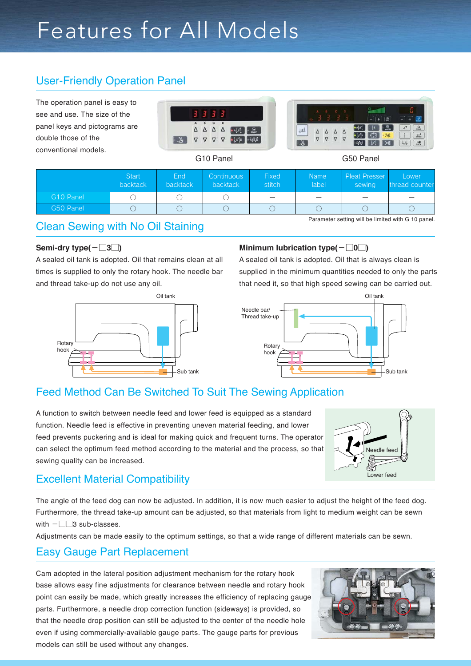## Features for All Models

## User-Friendly Operation Panel

The operation panel is easy to see and use. The size of the panel keys and pictograms are double those of the conventional models.





G10 Panel G50 Panel

|                       | <b>Start</b><br>backtack | End<br><b>backtack</b> | Continuous<br><b>backtack</b> | <b>Fixed</b><br>stitch | <b>Name</b><br>label | <b>Pleat Presser</b><br>sewing | Lower<br>thread counter                            |
|-----------------------|--------------------------|------------------------|-------------------------------|------------------------|----------------------|--------------------------------|----------------------------------------------------|
| G <sub>10</sub> Panel |                          |                        |                               |                        |                      |                                |                                                    |
| G50 Panel             |                          |                        |                               |                        |                      |                                |                                                    |
|                       |                          |                        |                               |                        |                      |                                | Parameter setting will be limited with G 10 panel. |

#### Clean Sewing with No Oil Staining

#### **Semi-dry type(**-□**3**□**)**

A sealed oil tank is adopted. Oil that remains clean at all times is supplied to only the rotary hook. The needle bar and thread take-up do not use any oil.



#### **Minimum lubrication type(**-□**0**□**)**

A sealed oil tank is adopted. Oil that is always clean is supplied in the minimum quantities needed to only the parts that need it, so that high speed sewing can be carried out.



### Feed Method Can Be Switched To Suit The Sewing Application

A function to switch between needle feed and lower feed is equipped as a standard function. Needle feed is effective in preventing uneven material feeding, and lower feed prevents puckering and is ideal for making quick and frequent turns. The operator can select the optimum feed method according to the material and the process, so that sewing quality can be increased.



### Excellent Material Compatibility

The angle of the feed dog can now be adjusted. In addition, it is now much easier to adjust the height of the feed dog. Furthermore, the thread take-up amount can be adjusted, so that materials from light to medium weight can be sewn with  $-\square$  $3$  sub-classes.

Adjustments can be made easily to the optimum settings, so that a wide range of different materials can be sewn.

#### Easy Gauge Part Replacement

Cam adopted in the lateral position adjustment mechanism for the rotary hook base allows easy fine adjustments for clearance between needle and rotary hook point can easily be made, which greatly increases the efficiency of replacing gauge parts. Furthermore, a needle drop correction function (sideways) is provided, so that the needle drop position can still be adjusted to the center of the needle hole even if using commercially-available gauge parts. The gauge parts for previous models can still be used without any changes.

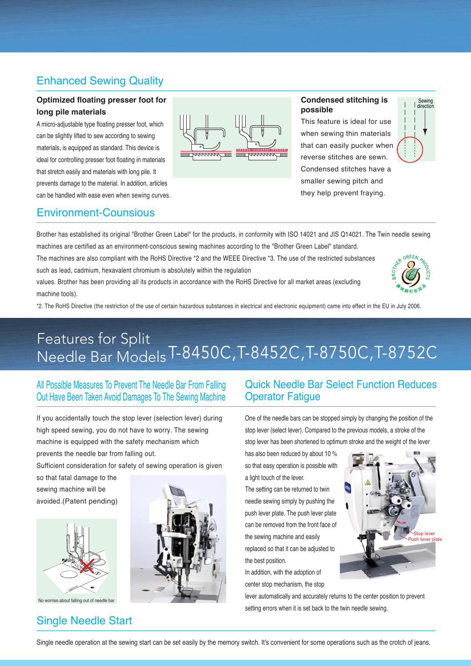### Enhanced Sewing Quality

#### **Optimized floating presser foot for long pile materials**

A micro-adjustable type floating presser foot, which can be slightly lifted to sew according to sewing materials, is equipped as standard. This device is ideal for controlling presser foot floating in materials that stretch easily and materials with long pile. It prevents damage to the material. In addition, articles can be handled with ease even when sewing curves.



#### **Condensed stitching is possible**

This feature is ideal for use when sewing thin materials that can easily pucker when reverse stitches are sewn. Condensed stitches have a smaller sewing pitch and they help prevent fraying.



#### Environment-Counsious

Brother has established its original "Brother Green Label" for the products, in conformity with ISO 14021 and JIS Q14021. The Twin needle sewing machines are certified as an environment-conscious sewing machines according to the "Brother Green Label" standard.

The machines are also compliant with the RoHS Directive \*2 and the WEEE Directive \*3. The use of the restricted substances such as lead, cadmium, hexavalent chromium is absolutely within the regulation

values. Brother has been providing all its products in accordance with the RoHS Directive for all market areas (excluding machine tools).



\*2. The RoHS Directive (the restriction of the use of certain hazardous substances in electrical and electronic equipment) came into effect in the EU in July 2006.

## Features for Split Needle Bar ModelsT-8450C,T-8452C,T-8750C,T-8752C

All Possible Measures To Prevent The Needle Bar From Falling Out Have Been Taken Avoid Damages To The Sewing Machine

If you accidentally touch the stop lever (selection lever) during high speed sewing, you do not have to worry. The sewing machine is equipped with the safety mechanism which prevents the needle bar from falling out.

Sufficient consideration for safety of sewing operation is given

so that fatal damage to the sewing machine will be avoided.(Patent pending)



No worries about falling out of needle bar

### Single Needle Start



#### Quick Needle Bar Select Function Reduces Operator Fatigue

One of the needle bars can be stopped simply by changing the position of the stop lever (select lever). Compared to the previous models, a stroke of the stop lever has been shortened to optimum stroke and the weight of the lever

has also been reduced by about 10 % so that easy operation is possible with a light touch of the lever.

The setting can be returned to twin needle sewing simply by pushing the push lever plate. The push lever plate can be removed from the front face of the sewing machine and easily replaced so that it can be adjusted to the best position.

In addition, with the adoption of center stop mechanism, the stop



lever automatically and accurately returns to the center position to prevent setting errors when it is set back to the twin needle sewing.

Single needle operation at the sewing start can be set easily by the memory switch. It's convenient for some operations such as the crotch of jeans.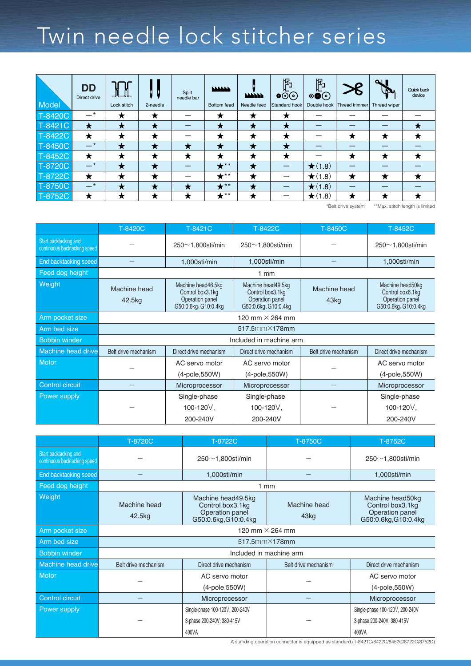## Twin needle lock stitcher series

| Model   | <b>DD</b><br>Direct drive | <b>JUL</b><br>Lock stitch | 2-needle | Split<br>needle bar | <b>NAMAN</b><br>Bottom feed | <b>NAMANA</b><br>Needle feed | 阽<br>$\bullet \circledcirc$<br>Standard hook | 卪<br>$\circledcircled{\bullet}$ | $\bm{\mathcal{E}}$<br>Double hook   Thread trimmer | $\sim$ 1<br>فكالكا<br>Thread wiper | Quick back<br>device |
|---------|---------------------------|---------------------------|----------|---------------------|-----------------------------|------------------------------|----------------------------------------------|---------------------------------|----------------------------------------------------|------------------------------------|----------------------|
| T-8420C | _*                        | ★                         | ★        |                     | ★                           | ₩                            |                                              |                                 |                                                    |                                    |                      |
| T-8421C | ★                         | ★                         | ★        |                     | ★                           | ★                            |                                              |                                 |                                                    |                                    | ★                    |
| T-8422C | ★                         | ★                         | ★        |                     | ★                           | ★                            |                                              |                                 | ★                                                  | ★                                  | ★                    |
| T-8450C | $-$ *                     | ★                         | ★        | ★                   | Х                           | ₩                            |                                              |                                 |                                                    |                                    |                      |
| T-8452C | ★                         | ★                         | ★        | ★                   |                             | ★                            | ★                                            |                                 | ★                                                  | ★                                  | ★                    |
| T-8720C | $-$ *                     | ★                         | ★        |                     | $\star^{**}$                | ★                            |                                              | $\bigstar(1.8)$                 |                                                    |                                    |                      |
| T-8722C | ★                         | ★                         | ★        |                     | $\bigstar^{**}$             | ★                            |                                              | $\bigstar(1.8)$                 | ★                                                  | ★                                  | ★                    |
| T-8750C | $-$ *                     | ★                         | ★        | ★                   | $\bigstar^{**}$             | ★                            |                                              | $\bigstar(1.8)$                 |                                                    |                                    |                      |
| T-8752C | ★                         | ★                         | ★        | ★                   | $\bigstar^{**}$             |                              |                                              | $\bigstar(1.8)$                 | ★                                                  |                                    |                      |

\*Belt drive system \*\*Max. stitch length is limited

|                                                       | T-8420C                | T-8421C                                                                           | T-8422C                                                                           | T-8450C                          | T-8452C                                                                         |
|-------------------------------------------------------|------------------------|-----------------------------------------------------------------------------------|-----------------------------------------------------------------------------------|----------------------------------|---------------------------------------------------------------------------------|
| Start backtacking and<br>continuous backtacking speed |                        | $250\nsti/min$                                                                    | $250\nsti/min$                                                                    |                                  | $250\n$                                                                         |
| End backtacking speed                                 |                        | 1,000sti/min                                                                      | 1,000sti/min                                                                      |                                  | 1,000sti/min                                                                    |
| Feed dog height                                       |                        |                                                                                   | $1 \text{ mm}$                                                                    |                                  |                                                                                 |
| Weight                                                | Machine head<br>42.5kg | Machine head46.5kg<br>Control box3.1kg<br>Operation panel<br>G50:0.6kg, G10:0.4kg | Machine head49.5kg<br>Control box3.1kg<br>Operation panel<br>G50:0.6kg, G10:0.4kg | Machine head<br>43 <sub>kg</sub> | Machine head50kg<br>Control box6.1kg<br>Operation panel<br>G50:0.6kg, G10:0.4kg |
| Arm pocket size                                       |                        |                                                                                   | 120 mm $\times$ 264 mm                                                            |                                  |                                                                                 |
| Arm bed size                                          |                        |                                                                                   | 517.5mm×178mm                                                                     |                                  |                                                                                 |
| <b>Bobbin winder</b>                                  |                        |                                                                                   | Included in machine arm                                                           |                                  |                                                                                 |
| Machine head drive                                    | Belt drive mechanism   | Direct drive mechanism                                                            | Direct drive mechanism                                                            | Belt drive mechanism             | Direct drive mechanism                                                          |
| <b>Motor</b>                                          |                        | AC servo motor                                                                    | AC servo motor                                                                    |                                  | AC servo motor                                                                  |
|                                                       |                        | (4-pole, 550W)                                                                    | $(4-pole, 550W)$                                                                  |                                  | (4-pole, 550W)                                                                  |
| <b>Control circuit</b>                                |                        | Microprocessor                                                                    | Microprocessor                                                                    |                                  | Microprocessor                                                                  |
| Power supply                                          |                        | Single-phase<br>100-120V,<br>200-240V                                             | Single-phase<br>100-120V,<br>200-240V                                             |                                  | Single-phase<br>100-120V,<br>200-240V                                           |

|                                                       | T-8720C                | T-8722C                                                                           | T-8750C                          | T-8752C                                                                         |  |
|-------------------------------------------------------|------------------------|-----------------------------------------------------------------------------------|----------------------------------|---------------------------------------------------------------------------------|--|
| Start backtacking and<br>continuous backtacking speed |                        | $250\n$                                                                           |                                  | $250\n$                                                                         |  |
| End backtacking speed                                 |                        | 1,000sti/min                                                                      |                                  | 1,000sti/min                                                                    |  |
| Feed dog height                                       |                        |                                                                                   | $1$ mm                           |                                                                                 |  |
| Weight                                                | Machine head<br>42.5kg | Machine head49.5kg<br>Control box3.1kg<br>Operation panel<br>G50:0.6kg, G10:0.4kg | Machine head<br>43 <sub>kg</sub> | Machine head50kg<br>Control box3.1kg<br>Operation panel<br>G50:0.6kg, G10:0.4kg |  |
| Arm pocket size                                       |                        |                                                                                   | 120 mm $\times$ 264 mm           |                                                                                 |  |
| Arm bed size                                          |                        |                                                                                   | 517.5mm×178mm                    |                                                                                 |  |
| <b>Bobbin winder</b>                                  |                        |                                                                                   | Included in machine arm          |                                                                                 |  |
| Machine head drive                                    | Belt drive mechanism   | Direct drive mechanism                                                            | Belt drive mechanism             | Direct drive mechanism                                                          |  |
| <b>Motor</b>                                          |                        | AC servo motor                                                                    |                                  | AC servo motor                                                                  |  |
|                                                       |                        | (4-pole, 550W)                                                                    |                                  | (4-pole, 550W)                                                                  |  |
| <b>Control circuit</b>                                |                        | Microprocessor                                                                    |                                  | Microprocessor                                                                  |  |
| Power supply                                          |                        | Single-phase 100-120V, 200-240V                                                   |                                  | Single-phase 100-120V, 200-240V                                                 |  |
|                                                       |                        | 3-phase 200-240V, 380-415V                                                        |                                  | 3-phase 200-240V, 380-415V                                                      |  |
|                                                       |                        | 400VA                                                                             |                                  | 400VA                                                                           |  |

A standing operation connector is equipped as standard.(T-8421C/8422C/8452C/8722C/8752C)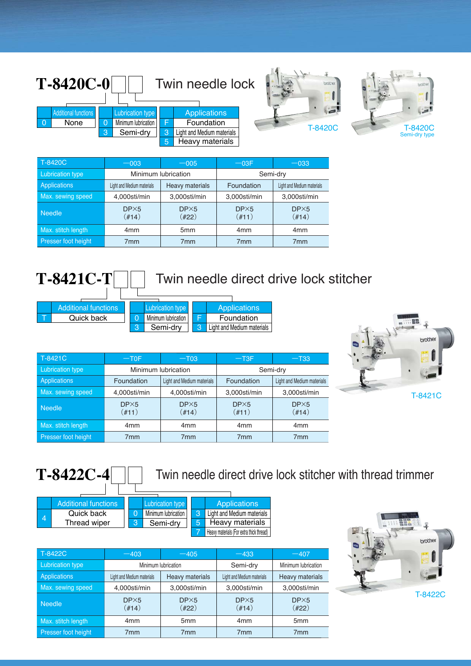| $T-8420C-0$                                                |                                                            |   | Twin needle lock                                                                   | brother | brother                  |
|------------------------------------------------------------|------------------------------------------------------------|---|------------------------------------------------------------------------------------|---------|--------------------------|
| <b>Additional functions</b><br>$\overline{0}$<br>None<br>ാ | <b>Lubrication type</b><br>Minimum lubrication<br>Semi-dry | 3 | <b>Applications</b><br>Foundation<br>Light and Medium materials<br>Heavy materials | T-8420C | T-8420C<br>Semi-dry type |

| T-8420C                    | $-003$                      | $-005$                      | $-03F$                      | $-033$                      |  |
|----------------------------|-----------------------------|-----------------------------|-----------------------------|-----------------------------|--|
| <b>Lubrication type</b>    |                             | Minimum lubrication         | Semi-dry                    |                             |  |
| Applications               | Light and Medium materials  | Heavy materials             | Foundation                  | Light and Medium materials  |  |
| Max. sewing speed          | 4,000sti/min                | 3,000sti/min                | 3,000sti/min                | 3,000sti/min                |  |
| <b>Needle</b>              | DP <sub>5</sub><br>$(\#14)$ | DP <sub>5</sub><br>$(\#22)$ | DP <sub>5</sub><br>$(\#11)$ | DP <sub>5</sub><br>$(\#14)$ |  |
| Max. stitch length         | 4 <sub>mm</sub>             | 5 <sub>mm</sub>             | 4 <sub>mm</sub>             | 4 <sub>mm</sub>             |  |
| <b>Presser foot height</b> | 7 <sub>mm</sub>             | 7 <sub>mm</sub>             | 7 <sub>mm</sub>             | 7 <sub>mm</sub>             |  |





| T-8421C                 | $-TOF$                      | $-$ T03                     | $-T3F$                      | $-$ T33                     |  |
|-------------------------|-----------------------------|-----------------------------|-----------------------------|-----------------------------|--|
| <b>Lubrication type</b> |                             | Minimum lubrication         | Semi-dry                    |                             |  |
| Applications            | Foundation                  | Light and Medium materials  | Foundation                  | Light and Medium materials  |  |
| Max. sewing speed       | 4,000sti/min                | 4,000sti/min                | 3,000sti/min                | 3,000sti/min                |  |
| <b>Needle</b>           | DP <sub>5</sub><br>$(\#11)$ | DP <sub>5</sub><br>$(\#14)$ | DP <sub>5</sub><br>$(\#11)$ | DP <sub>5</sub><br>$(\#14)$ |  |
| Max. stitch length      | 4 <sub>mm</sub>             | 4 <sub>mm</sub>             | 4 <sub>mm</sub>             | 4 <sub>mm</sub>             |  |
| Presser foot height     | 7 <sub>mm</sub>             | 7 <sub>mm</sub>             | 7 <sub>mm</sub>             | 7mm                         |  |



Twin needle direct drive lock stitcher with thread trimmer

|                | <b>Additional functions</b> |   | <b>Lubrication type</b> |   | <b>Applications</b>                      |
|----------------|-----------------------------|---|-------------------------|---|------------------------------------------|
| $\overline{4}$ | Quick back                  |   | Minimum lubrication     | 3 | Light and Medium materials               |
|                | Thread wiper                | 3 | Semi-drv                | 5 | Heavy materials                          |
|                |                             |   |                         |   | Heavy materials (For extra thick thread) |

| T-8422C                 | $-403$                      |                             | $-433$                      | $-407$                      |  |
|-------------------------|-----------------------------|-----------------------------|-----------------------------|-----------------------------|--|
| <b>Lubrication type</b> |                             | Minimum lubrication         | Semi-dry                    | Minimum lubrication         |  |
| Applications            | Light and Medium materials  | Heavy materials             | Light and Medium materials  | Heavy materials             |  |
| Max. sewing speed       | 4,000sti/min                | 3,000sti/min                | 3,000sti/min                | 3,000sti/min                |  |
| <b>Needle</b>           | DP <sub>5</sub><br>$(\#14)$ | DP <sub>5</sub><br>$(\#22)$ | DP <sub>5</sub><br>$(\#14)$ | DP <sub>5</sub><br>$(\#22)$ |  |
| Max. stitch length      | 4 <sub>mm</sub>             | 5 <sub>mm</sub>             | 4 <sub>mm</sub>             | 5 <sub>mm</sub>             |  |
| Presser foot height     | 7 <sub>mm</sub>             | 7 <sub>mm</sub>             | 7 <sub>mm</sub>             | 7 <sub>mm</sub>             |  |

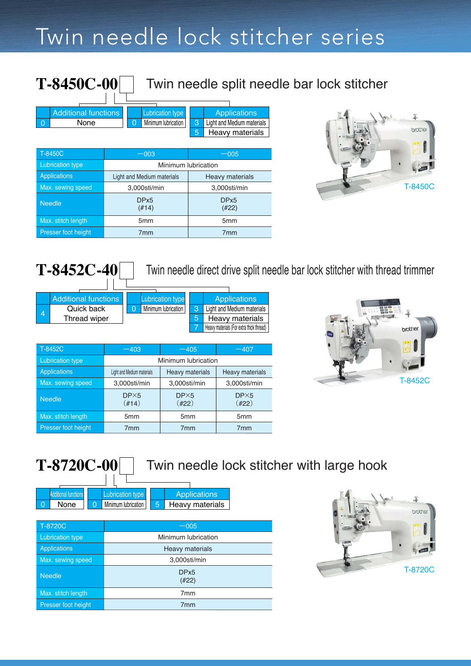## Twin needle lock stitcher series

|          | <b>T-8450C-00</b>           |                                       |                                                         | Twin needle split needle bar lock stitcher |
|----------|-----------------------------|---------------------------------------|---------------------------------------------------------|--------------------------------------------|
|          | <b>Additional functions</b> | Lubrication type                      | <b>Applications</b>                                     |                                            |
| $\Omega$ | None                        | Minimum lubrication<br>$\overline{0}$ | 3<br>Light and Medium materials<br>5<br>Heavy materials |                                            |
|          | T-8450C                     | $-003$                                | $-005$                                                  |                                            |
|          | <b>Lubrication type</b>     |                                       | Minimum lubrication                                     |                                            |
|          | Applications                | Light and Medium materials            | <b>Heavy materials</b>                                  |                                            |
|          | Max. sewing speed           | 3,000sti/min                          | 3,000sti/min                                            |                                            |
|          | <b>Needle</b>               | DP <sub>x5</sub><br>(#14)             | DP <sub>x5</sub><br>(422)                               |                                            |
|          | Max. stitch length          | 5 <sub>mm</sub>                       | 5 <sub>mm</sub>                                         |                                            |
|          | Presser foot height         | 7 <sub>mm</sub>                       | 7 <sub>mm</sub>                                         |                                            |



| $T-8452C-40$ |  |  |
|--------------|--|--|
|              |  |  |

Twin needle direct drive split needle bar lock stitcher with thread trimmer

|   | <b>Additional functions</b> |  | <b>Lubrication type</b> |   | Applications                             |
|---|-----------------------------|--|-------------------------|---|------------------------------------------|
| 4 | Quick back                  |  | Minimum lubrication I   | 3 | Light and Medium materials               |
|   | Thread wiper                |  |                         |   | Heavy materials                          |
|   |                             |  |                         |   | Heavy materials (For extra thick thread) |

| T-8452C                 | $-403$                      | $-405$                      | $-407$                      |  |  |  |  |
|-------------------------|-----------------------------|-----------------------------|-----------------------------|--|--|--|--|
| <b>Lubrication type</b> | Minimum lubrication         |                             |                             |  |  |  |  |
| <b>Applications</b>     | Light and Medium materials  | Heavy materials             | <b>Heavy materials</b>      |  |  |  |  |
| Max. sewing speed       | 3,000sti/min                | 3,000sti/min                | 3,000sti/min                |  |  |  |  |
| <b>Needle</b>           | DP <sub>5</sub><br>$(\#14)$ | DP <sub>5</sub><br>$(\#22)$ | DP <sub>5</sub><br>$(\#22)$ |  |  |  |  |
| Max. stitch length      | 5 <sub>mm</sub>             | 5 <sub>mm</sub>             | 5 <sub>mm</sub>             |  |  |  |  |
| Presser foot height     | 7 <sub>mm</sub>             | 7 <sub>mm</sub>             | 7 <sub>mm</sub>             |  |  |  |  |



**T-8720C-00**

## Twin needle lock stitcher with large hook

| <b>Additional functions</b> | <b>Lubrication type</b> |     | <b>Applications</b> |
|-----------------------------|-------------------------|-----|---------------------|
| None                        | Minimum lubrication     | .5. | Heavy materials     |

| T-8720C                 | $-005$                    |
|-------------------------|---------------------------|
| <b>Lubrication type</b> | Minimum lubrication       |
| <b>Applications</b>     | Heavy materials           |
| Max. sewing speed       | 3,000sti/min              |
| <b>Needle</b>           | DP <sub>x5</sub><br>(H22) |
| Max. stitch length      | 7 <sub>mm</sub>           |
| Presser foot height     | 7 <sub>mm</sub>           |

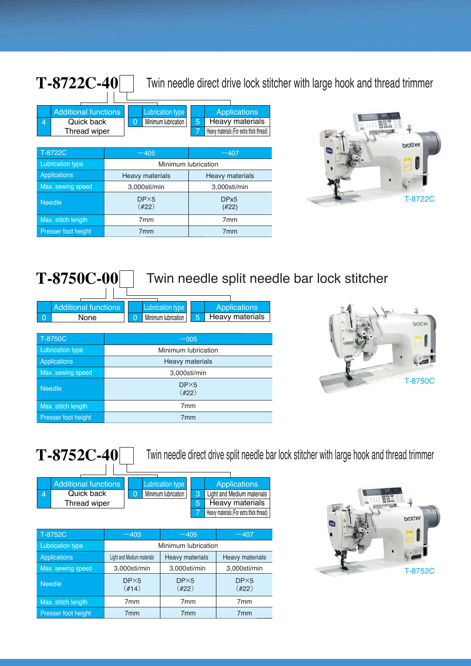Twin needle direct drive lock stitcher with large hook and thread trimmer

|   | <b>Additional functions</b> |                        | <b>Lubrication type</b>               |  |                           |                        | <b>Applications</b>                      |
|---|-----------------------------|------------------------|---------------------------------------|--|---------------------------|------------------------|------------------------------------------|
| 4 | Quick back                  |                        | Minimum lubrication<br>$\overline{0}$ |  | 5                         |                        | <b>Heavy materials</b>                   |
|   | Thread wiper                |                        |                                       |  |                           |                        | Heavy materials (For extra thick thread) |
|   |                             |                        |                                       |  |                           |                        |                                          |
|   | T-8722C                     |                        | $-405$                                |  |                           | $-407$                 |                                          |
|   | <b>Lubrication type</b>     | Minimum lubrication    |                                       |  |                           |                        |                                          |
|   | <b>Applications</b>         | <b>Heavy materials</b> |                                       |  |                           | <b>Heavy materials</b> |                                          |
|   | Max. sewing speed           |                        | 3,000sti/min                          |  |                           | 3,000sti/min           |                                          |
|   | <b>Needle</b>               |                        | DP <sub>5</sub><br>(422)              |  | DP <sub>x5</sub><br>(#22) |                        |                                          |
|   | Max. stitch length          |                        | 7 <sub>mm</sub><br>7 <sub>mm</sub>    |  |                           |                        |                                          |
|   | Presser foot height         |                        | 7 <sub>mm</sub><br>7 <sub>mm</sub>    |  |                           |                        |                                          |



**T-8750C-00**

**T-8722C-40**

## Twin needle split needle bar lock stitcher

| <b>Additional functions</b> | Lubrication type    |   | <b>Applications</b> |
|-----------------------------|---------------------|---|---------------------|
| None                        | Minimum lubrication | 5 | Heavy materials     |
|                             |                     |   |                     |

| T-8750C                    | $-005$                      |
|----------------------------|-----------------------------|
| Lubrication type           | Minimum lubrication         |
| <b>Applications</b>        | Heavy materials             |
| Max. sewing speed          | 3,000sti/min                |
| <b>Needle</b>              | DP <sub>5</sub><br>$(\#22)$ |
| Max. stitch length         | 7 <sub>mm</sub>             |
| <b>Presser foot height</b> | 7 <sub>mm</sub>             |



**T-8752C-40**

Twin needle direct drive split needle bar lock stitcher with large hook and thread trimmer

|  | <b>Additional functions</b> | Lubrication type    | <b>Applications</b>                                   |  |  |
|--|-----------------------------|---------------------|-------------------------------------------------------|--|--|
|  | Quick back                  | Minimum lubrication | Light and Medium materials                            |  |  |
|  | Thread wiper                |                     | Heavy materials                                       |  |  |
|  |                             |                     | <sup>1</sup> Heavy materials (For extra thick thread) |  |  |

| T-8752C                 | $-403$                      | $-405$                      | $-407$                      |
|-------------------------|-----------------------------|-----------------------------|-----------------------------|
| <b>Lubrication type</b> |                             | Minimum lubrication         |                             |
| <b>Applications</b>     | Light and Medium materials  | Heavy materials             | Heavy materials             |
| Max. sewing speed       | 3,000sti/min                | 3,000sti/min                | 3,000sti/min                |
| <b>Needle</b>           | DP <sub>5</sub><br>$(\#14)$ | DP <sub>5</sub><br>$(\#22)$ | DP <sub>5</sub><br>$(\#22)$ |
| Max. stitch length      | 7 <sub>mm</sub>             | 7 <sub>mm</sub>             | 7 <sub>mm</sub>             |
| Presser foot height     | 7 <sub>mm</sub>             | 7 <sub>mm</sub>             | 7 <sub>mm</sub>             |

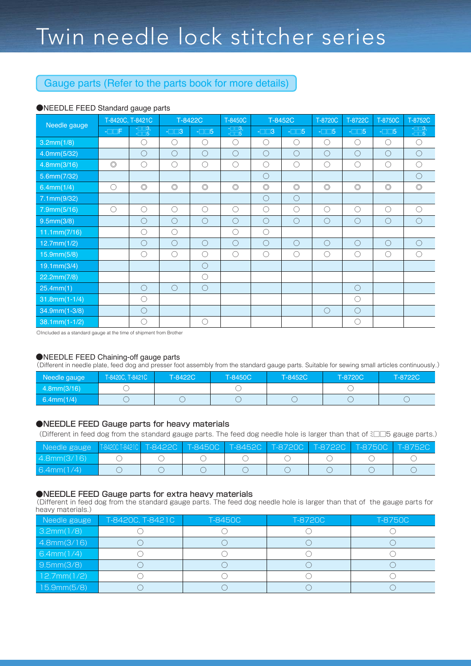#### Gauge parts (Refer to the parts book for more details)

#### ●NEEDLE FEED Standard gauge parts

| Needle gauge               |                       | T-8420C, T-8421C                          |                | T-8450C<br>T-8422C |                                 | T-8452C         |                | T-8720C        | T-8722C        | T-8750C          | T-8752C                           |
|----------------------------|-----------------------|-------------------------------------------|----------------|--------------------|---------------------------------|-----------------|----------------|----------------|----------------|------------------|-----------------------------------|
|                            | $- \square \square F$ | $\frac{-\square\square}{-\square\square}$ | $-\Box$ $-3$   | $ \Box$ 5          | $\overline{-\square\square}$ 3, | $-\square$ $-3$ | $-\square$ $5$ | $ \Box$ 5      | $ \Box$ 5      | $ \Box$ $\Box$ 5 | $\frac{-\Box\Box 3}{-\Box\Box 5}$ |
| 3.2mm(1/8)                 |                       | $\bigcirc$                                | $\bigcirc$     | $\bigcirc$         | $\bigcirc$                      | $\bigcirc$      | $\bigcirc$     | $\bigcirc$     | $\bigcirc$     | $\bigcirc$       | $\bigcirc$                        |
| 4.0mm(5/32)                |                       | $\bigcirc$                                | $\bigcirc$     | $\bigcirc$         | $\bigcirc$                      | $\bigcirc$      | $\bigcirc$     | $\bigcirc$     | $\bigcirc$     | $\bigcirc$       | $\bigcirc$                        |
| 4.8mm(3/16)                | $\circledcirc$        | $\bigcirc$                                | $\bigcirc$     | $\bigcirc$         | $\bigcirc$                      | $\bigcirc$      | $\bigcirc$     | $\bigcirc$     | $\bigcirc$     | $\bigcirc$       | $\bigcirc$                        |
| 5.6mm(7/32)                |                       |                                           |                |                    |                                 | $\bigcirc$      |                |                |                |                  | $\bigcirc$                        |
| 6.4mm(1/4)                 | $\bigcirc$            | $\circledcirc$                            | $\circledcirc$ | $\circledcirc$     | $\circledcirc$                  | $\circledcirc$  | $\circledcirc$ | $\circledcirc$ | $\circledcirc$ | $\circledcirc$   | $\circledcirc$                    |
| 7.1mm(9/32)                |                       |                                           |                |                    |                                 | $\bigcirc$      | $\circ$        |                |                |                  |                                   |
| 7.9mm(5/16)                | $\bigcirc$            | $\bigcirc$                                | $\bigcirc$     | $\bigcirc$         | $\bigcirc$                      | $\bigcirc$      | $\bigcirc$     | $\bigcirc$     | $\bigcirc$     | $\bigcirc$       | $\bigcap$                         |
| 9.5mm(3/8)                 |                       | $\bigcirc$                                | $\bigcirc$     | $\bigcirc$         | $\bigcirc$                      | $\bigcirc$      | $\bigcirc$     | $\bigcirc$     | $\bigcirc$     | $\bigcirc$       | $\bigcirc$                        |
| 11.1mm(7/16)               |                       | ◯                                         | $\bigcirc$     |                    | $\bigcirc$                      | $\bigcirc$      |                |                |                |                  |                                   |
| 12.7mm(1/2)                |                       | $\bigcirc$                                | $\bigcirc$     | $\bigcirc$         | $\bigcirc$                      | $\bigcirc$      | $\bigcirc$     | $\bigcirc$     | $\bigcirc$     | $\bigcirc$       | $\bigcirc$                        |
| 15.9mm(5/8)                |                       | $\bigcirc$                                | $\bigcirc$     | $\bigcirc$         | $\bigcirc$                      | $\bigcirc$      | $\bigcirc$     | $\bigcirc$     | $\bigcirc$     | $\bigcirc$       | ∩                                 |
| 19.1mm(3/4)                |                       |                                           |                | $\bigcirc$         |                                 |                 |                |                |                |                  |                                   |
| 22.2mm(7/8)                |                       |                                           |                | $\bigcirc$         |                                 |                 |                |                |                |                  |                                   |
| 25.4mm(1)                  |                       | $\bigcirc$                                | $\bigcirc$     | $\bigcirc$         |                                 |                 |                |                | $\bigcirc$     |                  |                                   |
| $31.8mm(1-1/4)$            |                       | $\bigcirc$                                |                |                    |                                 |                 |                |                | $\bigcirc$     |                  |                                   |
| 34.9mm(1-3/8)              |                       | $\bigcirc$                                |                |                    |                                 |                 |                | $\bigcirc$     | $\bigcirc$     |                  |                                   |
| $38.1 \text{mm} (1 - 1/2)$ |                       | $\bigcirc$                                |                | $\bigcirc$         |                                 |                 |                |                | $\bigcirc$     |                  |                                   |

◎Included as a standard gauge at the time of shipment from Brother

#### ●NEEDLE FEED Chaining-off gauge parts

(Different in needle plate, feed dog and presser foot assembly from the standard gauge parts. Suitable for sewing small articles continuously.)

| Needle gauge | T-8420C, T-8421C | T-8422C | T-8450C | T-8452C | T-8720C | T-8722C |
|--------------|------------------|---------|---------|---------|---------|---------|
| 4.8mm(3/16)  |                  |         |         |         |         |         |
| 6.4mm(1/4)   |                  |         |         |         |         |         |

#### ●NEEDLE FEED Gauge parts for heavy materials

(Different in feed dog from the standard gauge parts. The feed dog needle hole is larger than that of ミ□□5 gauge parts.)

| ,Needle gauge T8420CT842TC T-8422C T-845OC T-8452C T-872OC T-8722C T-875OC T-8752C <sup>!</sup> |  |  |  |  |
|-------------------------------------------------------------------------------------------------|--|--|--|--|
| 4.8mm(3/16)                                                                                     |  |  |  |  |
| 6.4mm(1/4)                                                                                      |  |  |  |  |

#### ●NEEDLE FEED Gauge parts for extra heavy materials

(Different in feed dog from the standard gauge parts. The feed dog needle hole is larger than that of the gauge parts for heavy materials.)

| Needle gauge | T-8420C, T-8421C | T-8450C | T-8720C | T-8750C |
|--------------|------------------|---------|---------|---------|
| 3.2mm(1/8)   |                  |         |         |         |
| 4.8mm(3/16)  |                  |         |         |         |
| 6.4mm(1/4)   |                  |         |         |         |
| 9.5mm(3/8)   |                  |         |         |         |
| 12.7mm(1/2)  |                  |         |         |         |
| 15.9mm(5/8)  |                  |         |         |         |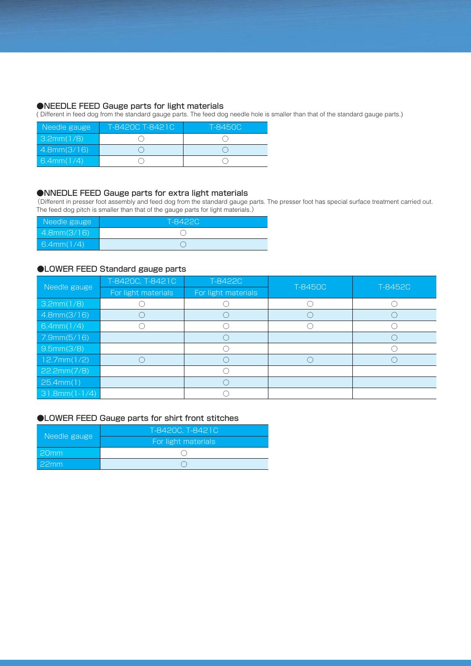#### ●NEEDLE FEED Gauge parts for light materials

( Different in feed dog from the standard gauge parts. The feed dog needle hole is smaller than that of the standard gauge parts.)

| Needle gauge | T-8420C T-8421C | T-8450C |
|--------------|-----------------|---------|
| 3.2mm(1/8)   |                 |         |
| 4.8mm(3/16)  |                 |         |
| 6.4mm(1/4)   |                 |         |

#### ●NNEDLE FEED Gauge parts for extra light materials

(Different in presser foot assembly and feed dog from the standard gauge parts. The presser foot has special surface treatment carried out. The feed dog pitch is smaller than that of the gauge parts for light materials.)

| Needle gauge | T-8422C |  |  |  |
|--------------|---------|--|--|--|
| 4.8mm(3/16)  |         |  |  |  |
| 6.4mm(1/4)   |         |  |  |  |

#### ●LOWER FEED Standard gauge parts

| Needle gauge    | T-8420C, T-8421C    | T-8422C             |         |         |
|-----------------|---------------------|---------------------|---------|---------|
|                 | For light materials | For light materials | T-8450C | T-8452C |
| 3.2mm(1/8)      |                     |                     |         |         |
| 4.8mm(3/16)     |                     |                     |         |         |
| 6.4mm(1/4)      |                     |                     |         |         |
| 7.9mm(5/16)     |                     |                     |         |         |
| 9.5mm(3/8)      |                     |                     |         |         |
| 12.7mm(1/2)     |                     |                     |         |         |
| 22.2mm(7/8)     |                     |                     |         |         |
| 25.4mm(1)       |                     |                     |         |         |
| $31.8mm(1-1/4)$ |                     |                     |         |         |

#### ●LOWER FEED Gauge parts for shirt front stitches

| Needle gauge | T-8420C, T-8421C    |  |  |
|--------------|---------------------|--|--|
|              | For light materials |  |  |
| 20mm         |                     |  |  |
| 22mm         |                     |  |  |